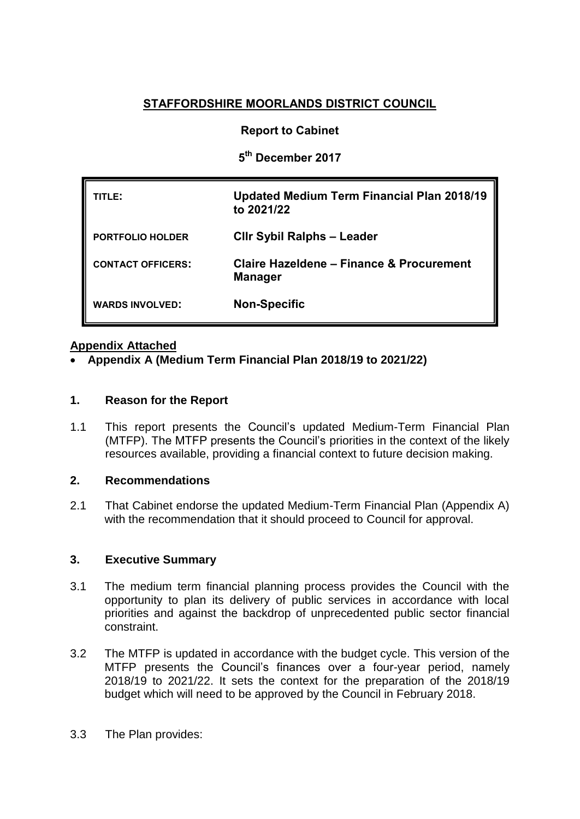# **STAFFORDSHIRE MOORLANDS DISTRICT COUNCIL**

# **Report to Cabinet**

**5 th December 2017**

| TLE:                     | <b>Updated Medium Term Financial Plan 2018/19</b><br>to 2021/22       |
|--------------------------|-----------------------------------------------------------------------|
| PORTFOLIO HOLDER         | <b>CIIr Sybil Ralphs - Leader</b>                                     |
| <b>CONTACT OFFICERS:</b> | <b>Claire Hazeldene - Finance &amp; Procurement</b><br><b>Manager</b> |
| <b>WARDS INVOLVED:</b>   | <b>Non-Specific</b>                                                   |

# **Appendix Attached**

**[Appendix A](http://smdcintranet/committeeagendas/2012-13/Overview%20&%20Scrutiny/Resources/10Oct12/SMDC%20-%20MTFP%20Oct%202012%20(2)Agenda%20Item%207.doc) (Medium Term Financial Plan 2018/19 to 2021/22)**

### **1. Reason for the Report**

1.1 This report presents the Council's updated Medium-Term Financial Plan (MTFP). The MTFP presents the Council's priorities in the context of the likely resources available, providing a financial context to future decision making.

### **2. Recommendations**

2.1 That Cabinet endorse the updated Medium-Term Financial Plan (Appendix A) with the recommendation that it should proceed to Council for approval.

### **3. Executive Summary**

- 3.1 The medium term financial planning process provides the Council with the opportunity to plan its delivery of public services in accordance with local priorities and against the backdrop of unprecedented public sector financial constraint.
- 3.2 The MTFP is updated in accordance with the budget cycle. This version of the MTFP presents the Council's finances over a four-year period, namely 2018/19 to 2021/22. It sets the context for the preparation of the 2018/19 budget which will need to be approved by the Council in February 2018.
- 3.3 The Plan provides: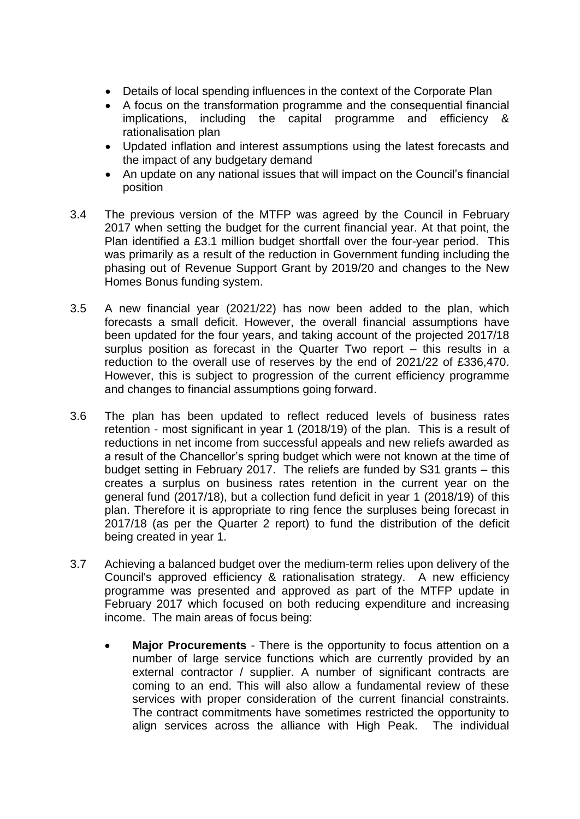- Details of local spending influences in the context of the Corporate Plan
- A focus on the transformation programme and the consequential financial implications, including the capital programme and efficiency & rationalisation plan
- Updated inflation and interest assumptions using the latest forecasts and the impact of any budgetary demand
- An update on any national issues that will impact on the Council's financial position
- 3.4 The previous version of the MTFP was agreed by the Council in February 2017 when setting the budget for the current financial year. At that point, the Plan identified a £3.1 million budget shortfall over the four-year period. This was primarily as a result of the reduction in Government funding including the phasing out of Revenue Support Grant by 2019/20 and changes to the New Homes Bonus funding system.
- 3.5 A new financial year (2021/22) has now been added to the plan, which forecasts a small deficit. However, the overall financial assumptions have been updated for the four years, and taking account of the projected 2017/18 surplus position as forecast in the Quarter Two report – this results in a reduction to the overall use of reserves by the end of 2021/22 of £336,470. However, this is subject to progression of the current efficiency programme and changes to financial assumptions going forward.
- 3.6 The plan has been updated to reflect reduced levels of business rates retention - most significant in year 1 (2018/19) of the plan. This is a result of reductions in net income from successful appeals and new reliefs awarded as a result of the Chancellor's spring budget which were not known at the time of budget setting in February 2017. The reliefs are funded by S31 grants – this creates a surplus on business rates retention in the current year on the general fund (2017/18), but a collection fund deficit in year 1 (2018/19) of this plan. Therefore it is appropriate to ring fence the surpluses being forecast in 2017/18 (as per the Quarter 2 report) to fund the distribution of the deficit being created in year 1.
- 3.7 Achieving a balanced budget over the medium-term relies upon delivery of the Council's approved efficiency & rationalisation strategy. A new efficiency programme was presented and approved as part of the MTFP update in February 2017 which focused on both reducing expenditure and increasing income. The main areas of focus being:
	- **Major Procurements** There is the opportunity to focus attention on a number of large service functions which are currently provided by an external contractor / supplier. A number of significant contracts are coming to an end. This will also allow a fundamental review of these services with proper consideration of the current financial constraints. The contract commitments have sometimes restricted the opportunity to align services across the alliance with High Peak. The individual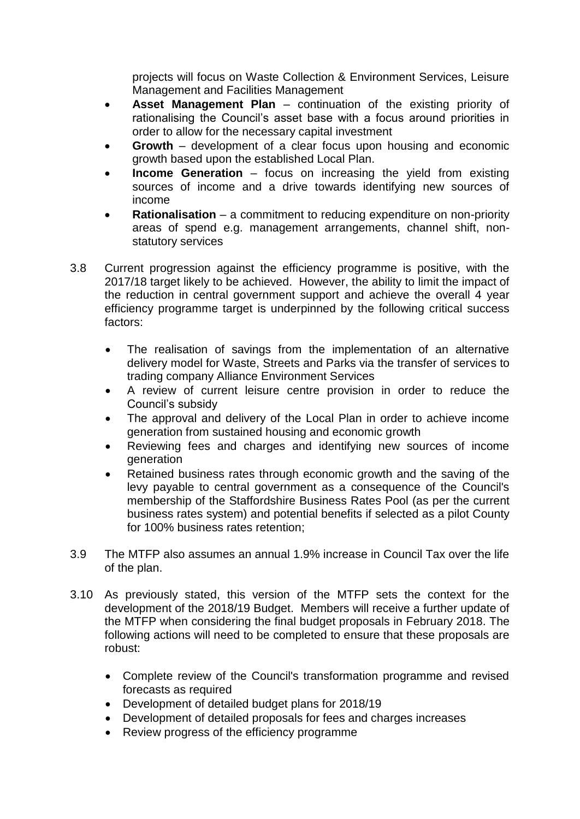projects will focus on Waste Collection & Environment Services, Leisure Management and Facilities Management

- **Asset Management Plan** continuation of the existing priority of rationalising the Council's asset base with a focus around priorities in order to allow for the necessary capital investment
- **Growth**  development of a clear focus upon housing and economic growth based upon the established Local Plan.
- **Income Generation** focus on increasing the yield from existing sources of income and a drive towards identifying new sources of income
- **Rationalisation** a commitment to reducing expenditure on non-priority areas of spend e.g. management arrangements, channel shift, nonstatutory services
- 3.8 Current progression against the efficiency programme is positive, with the 2017/18 target likely to be achieved. However, the ability to limit the impact of the reduction in central government support and achieve the overall 4 year efficiency programme target is underpinned by the following critical success factors:
	- The realisation of savings from the implementation of an alternative delivery model for Waste, Streets and Parks via the transfer of services to trading company Alliance Environment Services
	- A review of current leisure centre provision in order to reduce the Council's subsidy
	- The approval and delivery of the Local Plan in order to achieve income generation from sustained housing and economic growth
	- Reviewing fees and charges and identifying new sources of income generation
	- Retained business rates through economic growth and the saving of the levy payable to central government as a consequence of the Council's membership of the Staffordshire Business Rates Pool (as per the current business rates system) and potential benefits if selected as a pilot County for 100% business rates retention;
- 3.9 The MTFP also assumes an annual 1.9% increase in Council Tax over the life of the plan.
- 3.10 As previously stated, this version of the MTFP sets the context for the development of the 2018/19 Budget. Members will receive a further update of the MTFP when considering the final budget proposals in February 2018. The following actions will need to be completed to ensure that these proposals are robust:
	- Complete review of the Council's transformation programme and revised forecasts as required
	- Development of detailed budget plans for 2018/19
	- Development of detailed proposals for fees and charges increases
	- Review progress of the efficiency programme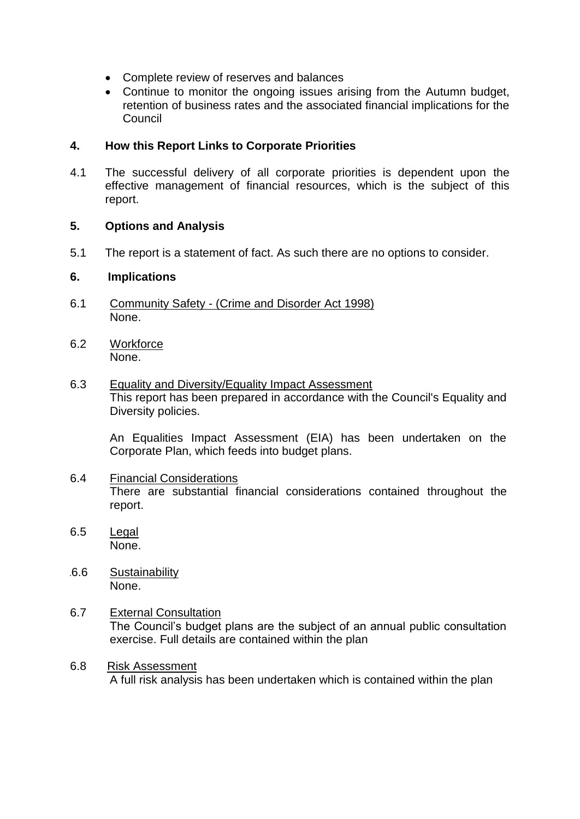- Complete review of reserves and balances
- Continue to monitor the ongoing issues arising from the Autumn budget, retention of business rates and the associated financial implications for the **Council**

# **4. How this Report Links to Corporate Priorities**

4.1 The successful delivery of all corporate priorities is dependent upon the effective management of financial resources, which is the subject of this report.

# **5. Options and Analysis**

5.1 The report is a statement of fact. As such there are no options to consider.

# **6. Implications**

- 6.1 Community Safety (Crime and Disorder Act 1998) None.
- 6.2 Workforce None.
- 6.3 Equality and Diversity/Equality Impact Assessment This report has been prepared in accordance with the Council's Equality and Diversity policies.

An Equalities Impact Assessment (EIA) has been undertaken on the Corporate Plan, which feeds into budget plans.

- 6.4 Financial Considerations There are substantial financial considerations contained throughout the report.
- 6.5 Legal None.
- 16.6 Sustainability None.
- 6.7 External Consultation The Council's budget plans are the subject of an annual public consultation exercise. Full details are contained within the plan
- 6.8 Risk Assessment A full risk analysis has been undertaken which is contained within the plan